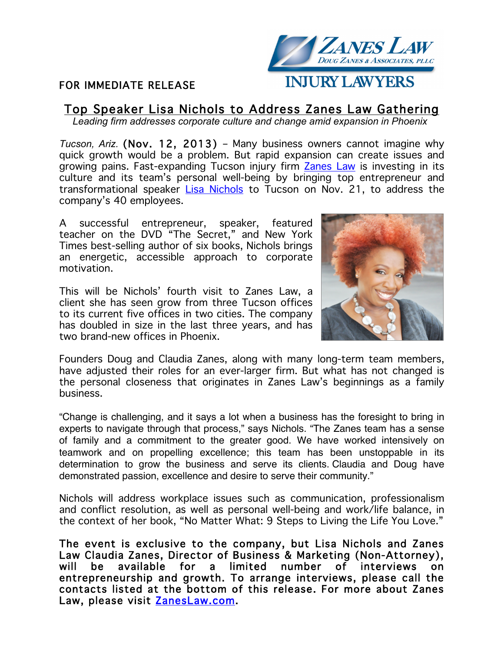## FOR IMMEDIATE RELEASE



# Top Speaker Lisa Nichols to Address Zanes Law Gathering

*Leading firm addresses corporate culture and change amid expansion in Phoenix*

*Tucson, Ariz.* (Nov. 12, 2013) – Many business owners cannot imagine why quick growth would be a problem. But rapid expansion can create issues and growing pains. Fast-expanding Tucson injury firm Zanes Law is investing in its culture and its team's personal well-being by bringing top entrepreneur and transformational speaker Lisa Nichols to Tucson on Nov. 21, to address the company's 40 employees.

A successful entrepreneur, speaker, featured teacher on the DVD "The Secret," and New York Times best-selling author of six books, Nichols brings an energetic, accessible approach to corporate motivation.

This will be Nichols' fourth visit to Zanes Law, a client she has seen grow from three Tucson offices to its current five offices in two cities. The company has doubled in size in the last three years, and has two brand-new offices in Phoenix.



Founders Doug and Claudia Zanes, along with many long-term team members, have adjusted their roles for an ever-larger firm. But what has not changed is the personal closeness that originates in Zanes Law's beginnings as a family business.

"Change is challenging, and it says a lot when a business has the foresight to bring in experts to navigate through that process," says Nichols. "The Zanes team has a sense of family and a commitment to the greater good. We have worked intensively on teamwork and on propelling excellence; this team has been unstoppable in its determination to grow the business and serve its clients. Claudia and Doug have demonstrated passion, excellence and desire to serve their community."

Nichols will address workplace issues such as communication, professionalism and conflict resolution, as well as personal well-being and work/life balance, in the context of her book, "No Matter What: 9 Steps to Living the Life You Love."

The event is exclusive to the company, but Lisa Nichols and Zanes Law Claudia Zanes, Director of Business & Marketing (Non-Attorney), will be available for a limited number of interviews on entrepreneurship and growth. To arrange interviews, please call the contacts listed at the bottom of this release. For more about Zanes Law, please visit ZanesLaw.com.